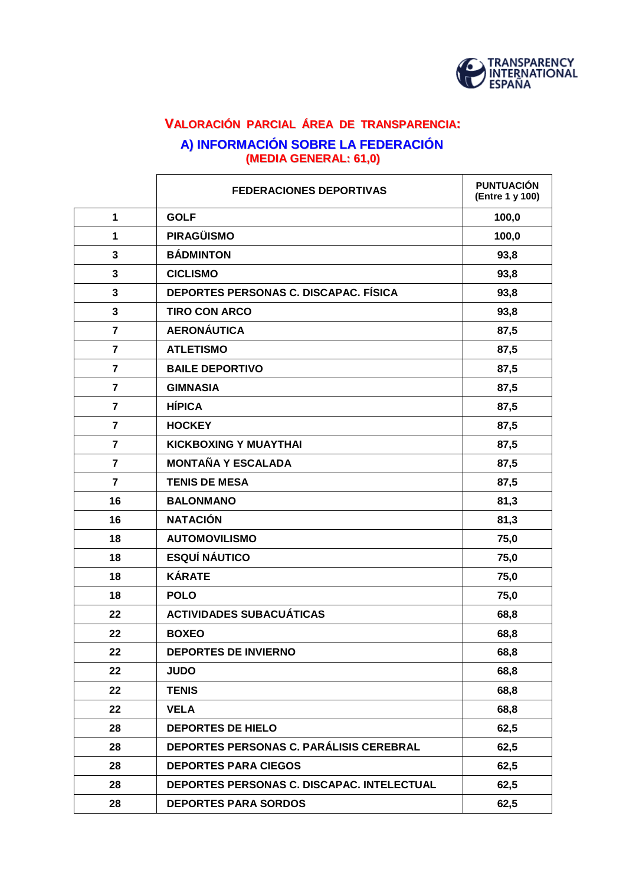

# **VALORACIÓN PARCIAL ÁREA DE TRANSPARENCIA: A) INFORMACIÓN SOBRE LA FEDERACIÓN (MEDIA GENERAL: 61,0)**

|                | <b>FEDERACIONES DEPORTIVAS</b>             | <b>PUNTUACIÓN</b><br>(Entre 1 y 100) |
|----------------|--------------------------------------------|--------------------------------------|
| $\mathbf{1}$   | <b>GOLF</b>                                | 100,0                                |
| 1              | <b>PIRAGÜISMO</b>                          | 100,0                                |
| 3              | <b>BÁDMINTON</b>                           | 93,8                                 |
| 3              | <b>CICLISMO</b>                            | 93,8                                 |
| 3              | DEPORTES PERSONAS C. DISCAPAC. FÍSICA      | 93,8                                 |
| 3              | <b>TIRO CON ARCO</b>                       | 93,8                                 |
| $\overline{7}$ | <b>AERONÁUTICA</b>                         | 87,5                                 |
| $\overline{7}$ | <b>ATLETISMO</b>                           | 87,5                                 |
| $\overline{7}$ | <b>BAILE DEPORTIVO</b>                     | 87,5                                 |
| $\overline{7}$ | <b>GIMNASIA</b>                            | 87,5                                 |
| $\overline{7}$ | <b>HÍPICA</b>                              | 87,5                                 |
| $\overline{7}$ | <b>HOCKEY</b>                              | 87,5                                 |
| $\overline{7}$ | <b>KICKBOXING Y MUAYTHAI</b>               | 87,5                                 |
| $\overline{7}$ | <b>MONTAÑA Y ESCALADA</b>                  | 87,5                                 |
| $\overline{7}$ | <b>TENIS DE MESA</b>                       | 87,5                                 |
| 16             | <b>BALONMANO</b>                           | 81,3                                 |
| 16             | <b>NATACIÓN</b>                            | 81,3                                 |
| 18             | <b>AUTOMOVILISMO</b>                       | 75,0                                 |
| 18             | <b>ESQUÍ NÁUTICO</b>                       | 75,0                                 |
| 18             | <b>KÁRATE</b>                              | 75,0                                 |
| 18             | <b>POLO</b>                                | 75,0                                 |
| 22             | <b>ACTIVIDADES SUBACUÁTICAS</b>            | 68,8                                 |
| 22             | <b>BOXEO</b>                               | 68,8                                 |
| 22             | <b>DEPORTES DE INVIERNO</b>                | 68,8                                 |
| 22             | <b>JUDO</b>                                | 68,8                                 |
| 22             | <b>TENIS</b>                               | 68,8                                 |
| 22             | <b>VELA</b>                                | 68,8                                 |
| 28             | <b>DEPORTES DE HIELO</b>                   | 62,5                                 |
| 28             | DEPORTES PERSONAS C. PARÁLISIS CEREBRAL    | 62,5                                 |
| 28             | <b>DEPORTES PARA CIEGOS</b>                | 62,5                                 |
| 28             | DEPORTES PERSONAS C. DISCAPAC. INTELECTUAL | 62,5                                 |
| 28             | <b>DEPORTES PARA SORDOS</b>                | 62,5                                 |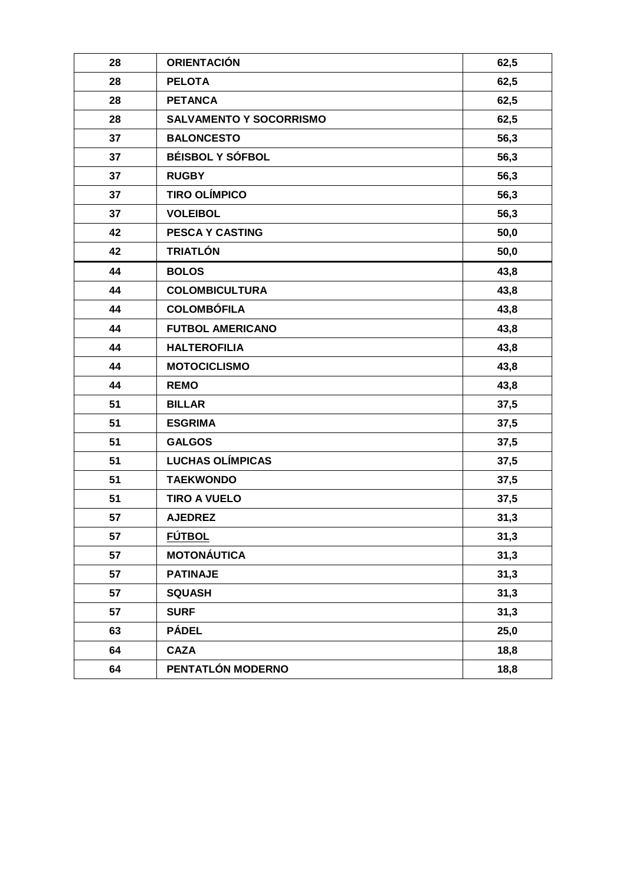| 28 | <b>ORIENTACIÓN</b>             | 62,5 |
|----|--------------------------------|------|
| 28 | <b>PELOTA</b>                  | 62,5 |
| 28 | <b>PETANCA</b>                 | 62,5 |
| 28 | <b>SALVAMENTO Y SOCORRISMO</b> | 62,5 |
| 37 | <b>BALONCESTO</b>              | 56,3 |
| 37 | <b>BÉISBOL Y SÓFBOL</b>        | 56,3 |
| 37 | <b>RUGBY</b>                   | 56,3 |
| 37 | <b>TIRO OLÍMPICO</b>           | 56,3 |
| 37 | <b>VOLEIBOL</b>                | 56,3 |
| 42 | <b>PESCA Y CASTING</b>         | 50,0 |
| 42 | <b>TRIATLÓN</b>                | 50,0 |
| 44 | <b>BOLOS</b>                   | 43,8 |
| 44 | <b>COLOMBICULTURA</b>          | 43,8 |
| 44 | <b>COLOMBÓFILA</b>             | 43,8 |
| 44 | <b>FUTBOL AMERICANO</b>        | 43,8 |
| 44 | <b>HALTEROFILIA</b>            | 43,8 |
| 44 | <b>MOTOCICLISMO</b>            | 43,8 |
| 44 | <b>REMO</b>                    | 43,8 |
| 51 | <b>BILLAR</b>                  | 37,5 |
| 51 | <b>ESGRIMA</b>                 | 37,5 |
| 51 | <b>GALGOS</b>                  | 37,5 |
| 51 | <b>LUCHAS OLÍMPICAS</b>        | 37,5 |
| 51 | <b>TAEKWONDO</b>               | 37,5 |
| 51 | <b>TIRO A VUELO</b>            | 37,5 |
| 57 | <b>AJEDREZ</b>                 | 31,3 |
| 57 | <b>FÚTBOL</b>                  | 31,3 |
| 57 | <b>MOTONÁUTICA</b>             | 31,3 |
| 57 | <b>PATINAJE</b>                | 31,3 |
| 57 | <b>SQUASH</b>                  | 31,3 |
| 57 | <b>SURF</b>                    | 31,3 |
| 63 | <b>PÁDEL</b>                   | 25,0 |
| 64 | <b>CAZA</b>                    | 18,8 |
| 64 | PENTATLÓN MODERNO              | 18,8 |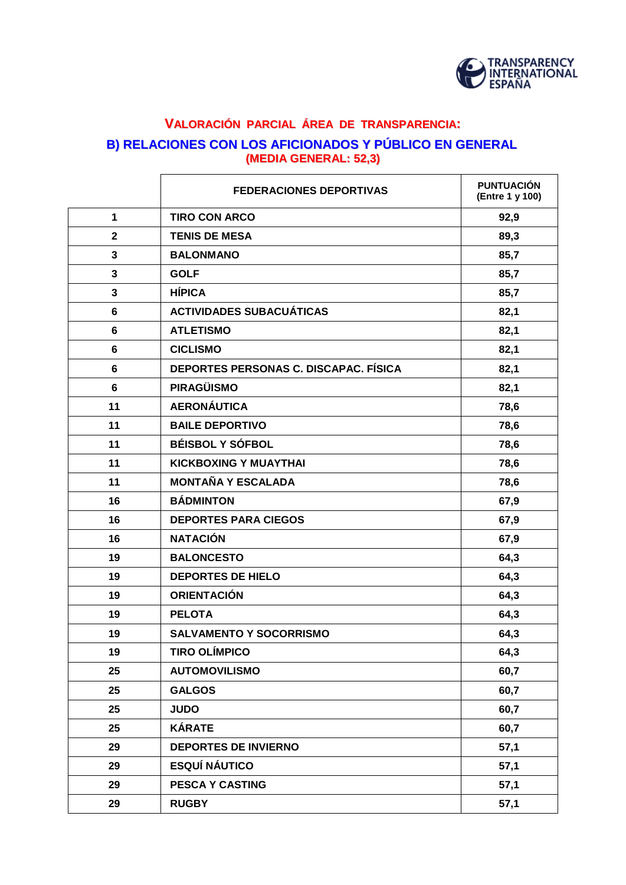

# **VALORACIÓN PARCIAL ÁREA DE TRANSPARENCIA: B) RELACIONES CON LOS AFICIONADOS Y PÚBLICO EN GENERAL (MEDIA GENERAL: 52,3)**

|                         | <b>FEDERACIONES DEPORTIVAS</b>        | <b>PUNTUACIÓN</b><br>(Entre 1 y 100) |
|-------------------------|---------------------------------------|--------------------------------------|
| 1                       | <b>TIRO CON ARCO</b>                  | 92,9                                 |
| $\mathbf{2}$            | <b>TENIS DE MESA</b>                  | 89,3                                 |
| $\overline{\mathbf{3}}$ | <b>BALONMANO</b>                      | 85,7                                 |
| 3                       | <b>GOLF</b>                           | 85,7                                 |
| 3                       | <b>HÍPICA</b>                         | 85,7                                 |
| 6                       | <b>ACTIVIDADES SUBACUÁTICAS</b>       | 82,1                                 |
| 6                       | <b>ATLETISMO</b>                      | 82,1                                 |
| 6                       | <b>CICLISMO</b>                       | 82,1                                 |
| 6                       | DEPORTES PERSONAS C. DISCAPAC. FÍSICA | 82,1                                 |
| $6\phantom{1}$          | <b>PIRAGÜISMO</b>                     | 82,1                                 |
| 11                      | <b>AERONÁUTICA</b>                    | 78,6                                 |
| 11                      | <b>BAILE DEPORTIVO</b>                | 78,6                                 |
| 11                      | <b>BÉISBOL Y SÓFBOL</b>               | 78,6                                 |
| 11                      | <b>KICKBOXING Y MUAYTHAI</b>          | 78,6                                 |
| 11                      | <b>MONTAÑA Y ESCALADA</b>             | 78,6                                 |
| 16                      | <b>BÁDMINTON</b>                      | 67,9                                 |
| 16                      | <b>DEPORTES PARA CIEGOS</b>           | 67,9                                 |
| 16                      | <b>NATACIÓN</b>                       | 67,9                                 |
| 19                      | <b>BALONCESTO</b>                     | 64,3                                 |
| 19                      | <b>DEPORTES DE HIELO</b>              | 64,3                                 |
| 19                      | <b>ORIENTACIÓN</b>                    | 64,3                                 |
| 19                      | <b>PELOTA</b>                         | 64,3                                 |
| 19                      | <b>SALVAMENTO Y SOCORRISMO</b>        | 64,3                                 |
| 19                      | <b>TIRO OLÍMPICO</b>                  | 64,3                                 |
| 25                      | <b>AUTOMOVILISMO</b>                  | 60,7                                 |
| 25                      | <b>GALGOS</b>                         | 60,7                                 |
| 25                      | <b>JUDO</b>                           | 60,7                                 |
| 25                      | <b>KÁRATE</b>                         | 60,7                                 |
| 29                      | <b>DEPORTES DE INVIERNO</b>           | 57,1                                 |
| 29                      | <b>ESQUÍ NÁUTICO</b>                  | 57,1                                 |
| 29                      | <b>PESCA Y CASTING</b>                | 57,1                                 |
| 29                      | <b>RUGBY</b>                          | 57,1                                 |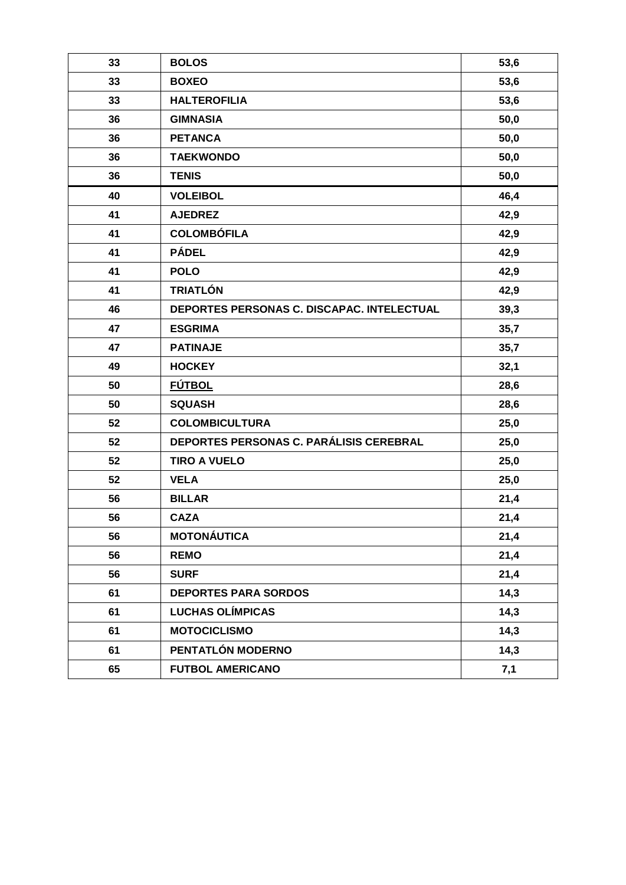| 33 | <b>BOLOS</b>                               | 53,6 |
|----|--------------------------------------------|------|
| 33 | <b>BOXEO</b>                               | 53,6 |
| 33 | <b>HALTEROFILIA</b>                        | 53,6 |
| 36 | <b>GIMNASIA</b>                            | 50,0 |
| 36 | <b>PETANCA</b>                             | 50,0 |
| 36 | <b>TAEKWONDO</b>                           | 50,0 |
| 36 | <b>TENIS</b>                               | 50,0 |
| 40 | <b>VOLEIBOL</b>                            | 46,4 |
| 41 | <b>AJEDREZ</b>                             | 42,9 |
| 41 | <b>COLOMBÓFILA</b>                         | 42,9 |
| 41 | <b>PÁDEL</b>                               | 42,9 |
| 41 | <b>POLO</b>                                | 42,9 |
| 41 | <b>TRIATLÓN</b>                            | 42,9 |
| 46 | DEPORTES PERSONAS C. DISCAPAC. INTELECTUAL | 39,3 |
| 47 | <b>ESGRIMA</b>                             | 35,7 |
| 47 | <b>PATINAJE</b>                            | 35,7 |
| 49 | <b>HOCKEY</b>                              | 32,1 |
| 50 | <b>FÚTBOL</b>                              | 28,6 |
| 50 | <b>SQUASH</b>                              | 28,6 |
| 52 | <b>COLOMBICULTURA</b>                      | 25,0 |
| 52 | DEPORTES PERSONAS C. PARÁLISIS CEREBRAL    | 25,0 |
| 52 | <b>TIRO A VUELO</b>                        | 25,0 |
| 52 | <b>VELA</b>                                | 25,0 |
| 56 | <b>BILLAR</b>                              | 21,4 |
| 56 | <b>CAZA</b>                                | 21,4 |
| 56 | <b>MOTONÁUTICA</b>                         | 21,4 |
| 56 | <b>REMO</b>                                | 21,4 |
| 56 | <b>SURF</b>                                | 21,4 |
| 61 | <b>DEPORTES PARA SORDOS</b>                | 14,3 |
| 61 | <b>LUCHAS OLÍMPICAS</b>                    | 14,3 |
| 61 | <b>MOTOCICLISMO</b>                        | 14,3 |
| 61 | PENTATLÓN MODERNO                          | 14,3 |
| 65 | <b>FUTBOL AMERICANO</b>                    | 7,1  |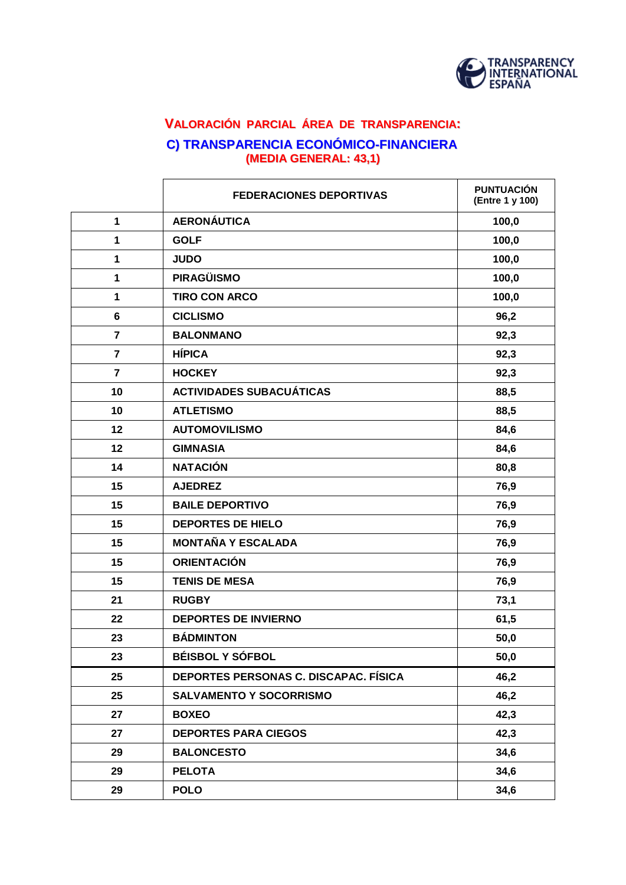

# **VALORACIÓN PARCIAL ÁREA DE TRANSPARENCIA: C) TRANSPARENCIA ECONÓMICO-FINANCIERA (MEDIA GENERAL: 43,1)**

|                         | <b>FEDERACIONES DEPORTIVAS</b>        | <b>PUNTUACIÓN</b><br>(Entre 1 y 100) |
|-------------------------|---------------------------------------|--------------------------------------|
| 1                       | <b>AERONÁUTICA</b>                    | 100,0                                |
| 1                       | <b>GOLF</b>                           | 100,0                                |
| 1                       | <b>JUDO</b>                           | 100,0                                |
| 1                       | <b>PIRAGÜISMO</b>                     | 100,0                                |
| 1                       | <b>TIRO CON ARCO</b>                  | 100,0                                |
| 6                       | <b>CICLISMO</b>                       | 96,2                                 |
| $\overline{\mathbf{r}}$ | <b>BALONMANO</b>                      | 92,3                                 |
| 7                       | <b>HÍPICA</b>                         | 92,3                                 |
| $\overline{7}$          | <b>HOCKEY</b>                         | 92,3                                 |
| 10                      | <b>ACTIVIDADES SUBACUÁTICAS</b>       | 88,5                                 |
| 10                      | <b>ATLETISMO</b>                      | 88,5                                 |
| 12                      | <b>AUTOMOVILISMO</b>                  | 84,6                                 |
| 12                      | <b>GIMNASIA</b>                       | 84,6                                 |
| 14                      | <b>NATACIÓN</b>                       | 80,8                                 |
| 15                      | <b>AJEDREZ</b>                        | 76,9                                 |
| 15                      | <b>BAILE DEPORTIVO</b>                | 76,9                                 |
| 15                      | <b>DEPORTES DE HIELO</b>              | 76,9                                 |
| 15                      | <b>MONTAÑA Y ESCALADA</b>             | 76,9                                 |
| 15                      | <b>ORIENTACIÓN</b>                    | 76,9                                 |
| 15                      | <b>TENIS DE MESA</b>                  | 76,9                                 |
| 21                      | <b>RUGBY</b>                          | 73,1                                 |
| 22                      | <b>DEPORTES DE INVIERNO</b>           | 61,5                                 |
| 23                      | <b>BÁDMINTON</b>                      | 50,0                                 |
| 23                      | <b>BÉISBOL Y SÓFBOL</b>               | 50,0                                 |
| 25                      | DEPORTES PERSONAS C. DISCAPAC. FÍSICA | 46,2                                 |
| 25                      | <b>SALVAMENTO Y SOCORRISMO</b>        | 46,2                                 |
| 27                      | <b>BOXEO</b>                          | 42,3                                 |
| 27                      | <b>DEPORTES PARA CIEGOS</b>           | 42,3                                 |
| 29                      | <b>BALONCESTO</b>                     | 34,6                                 |
| 29                      | <b>PELOTA</b>                         | 34,6                                 |
| 29                      | <b>POLO</b>                           | 34,6                                 |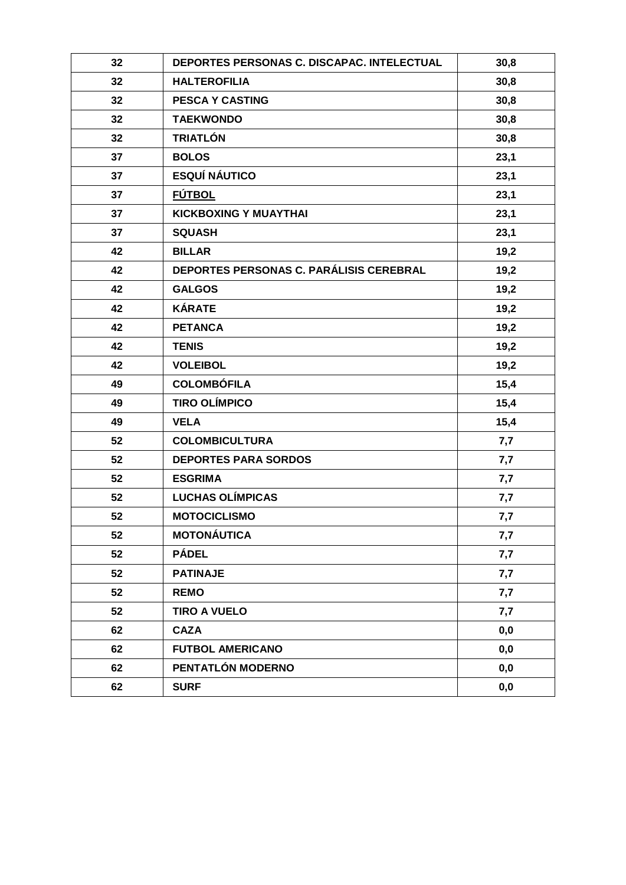| 32 | DEPORTES PERSONAS C. DISCAPAC. INTELECTUAL | 30,8 |
|----|--------------------------------------------|------|
| 32 | <b>HALTEROFILIA</b>                        | 30,8 |
| 32 | <b>PESCA Y CASTING</b>                     | 30,8 |
| 32 | <b>TAEKWONDO</b>                           | 30,8 |
| 32 | <b>TRIATLÓN</b>                            | 30,8 |
| 37 | <b>BOLOS</b>                               | 23,1 |
| 37 | <b>ESQUÍ NÁUTICO</b>                       | 23,1 |
| 37 | <b>FÚTBOL</b>                              | 23,1 |
| 37 | <b>KICKBOXING Y MUAYTHAI</b>               | 23,1 |
| 37 | <b>SQUASH</b>                              | 23,1 |
| 42 | <b>BILLAR</b>                              | 19,2 |
| 42 | DEPORTES PERSONAS C. PARÁLISIS CEREBRAL    | 19,2 |
| 42 | <b>GALGOS</b>                              | 19,2 |
| 42 | <b>KÁRATE</b>                              | 19,2 |
| 42 | <b>PETANCA</b>                             | 19,2 |
| 42 | <b>TENIS</b>                               | 19,2 |
| 42 | <b>VOLEIBOL</b>                            | 19,2 |
| 49 | <b>COLOMBÓFILA</b>                         | 15,4 |
| 49 | <b>TIRO OLÍMPICO</b>                       | 15,4 |
| 49 | <b>VELA</b>                                | 15,4 |
| 52 | <b>COLOMBICULTURA</b>                      | 7,7  |
| 52 | <b>DEPORTES PARA SORDOS</b>                | 7,7  |
| 52 | <b>ESGRIMA</b>                             | 7,7  |
| 52 | <b>LUCHAS OLÍMPICAS</b>                    | 7,7  |
| 52 | <b>MOTOCICLISMO</b>                        | 7,7  |
| 52 | <b>MOTONÁUTICA</b>                         | 7,7  |
| 52 | <b>PÁDEL</b>                               | 7,7  |
| 52 | <b>PATINAJE</b>                            | 7,7  |
| 52 | <b>REMO</b>                                | 7,7  |
| 52 | <b>TIRO A VUELO</b>                        | 7,7  |
| 62 | <b>CAZA</b>                                | 0,0  |
| 62 | <b>FUTBOL AMERICANO</b>                    | 0,0  |
| 62 | PENTATLÓN MODERNO                          | 0,0  |
| 62 | <b>SURF</b>                                | 0,0  |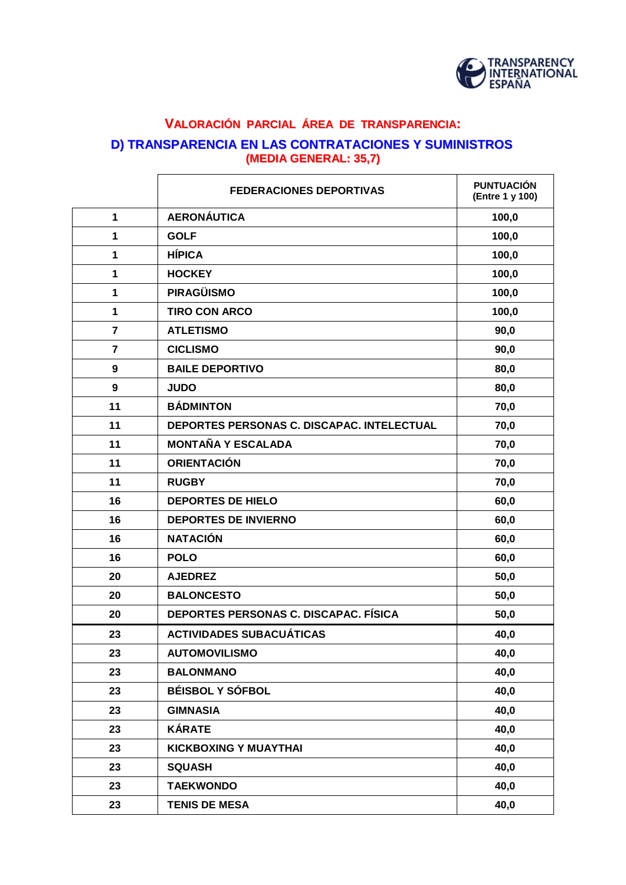

### **VALORACIÓN PARCIAL ÁREA DE TRANSPARENCIA: D) TRANSPARENCIA EN LAS CONTRATACIONES Y SUMINISTROS (MEDIA GENERAL: 35,7)**

|                         | <b>FEDERACIONES DEPORTIVAS</b>               | <b>PUNTUACIÓN</b><br>(Entre 1 y 100) |
|-------------------------|----------------------------------------------|--------------------------------------|
| $\mathbf{1}$            | <b>AERONÁUTICA</b>                           | 100,0                                |
| 1                       | <b>GOLF</b>                                  | 100,0                                |
| 1                       | <b>HÍPICA</b>                                | 100,0                                |
| 1                       | <b>HOCKEY</b>                                | 100,0                                |
| 1                       | <b>PIRAGÜISMO</b>                            | 100,0                                |
| 1                       | <b>TIRO CON ARCO</b>                         | 100,0                                |
| $\overline{\mathbf{r}}$ | <b>ATLETISMO</b>                             | 90,0                                 |
| $\overline{7}$          | <b>CICLISMO</b>                              | 90,0                                 |
| 9                       | <b>BAILE DEPORTIVO</b>                       | 80,0                                 |
| 9                       | <b>JUDO</b>                                  | 80,0                                 |
| 11                      | <b>BÁDMINTON</b>                             | 70,0                                 |
| 11                      | DEPORTES PERSONAS C. DISCAPAC. INTELECTUAL   | 70,0                                 |
| 11                      | <b>MONTAÑA Y ESCALADA</b>                    | 70,0                                 |
| 11                      | <b>ORIENTACIÓN</b>                           | 70,0                                 |
| 11                      | <b>RUGBY</b>                                 | 70,0                                 |
| 16                      | <b>DEPORTES DE HIELO</b>                     | 60,0                                 |
| 16                      | <b>DEPORTES DE INVIERNO</b>                  | 60,0                                 |
| 16                      | <b>NATACIÓN</b>                              | 60,0                                 |
| 16                      | <b>POLO</b>                                  | 60,0                                 |
| 20                      | <b>AJEDREZ</b>                               | 50,0                                 |
| 20                      | <b>BALONCESTO</b>                            | 50,0                                 |
| 20                      | <b>DEPORTES PERSONAS C. DISCAPAC. FÍSICA</b> | 50,0                                 |
| 23                      | <b>ACTIVIDADES SUBACUÁTICAS</b>              | 40,0                                 |
| 23                      | <b>AUTOMOVILISMO</b>                         | 40,0                                 |
| 23                      | <b>BALONMANO</b>                             | 40,0                                 |
| 23                      | <b>BÉISBOL Y SÓFBOL</b>                      | 40,0                                 |
| 23                      | <b>GIMNASIA</b>                              | 40,0                                 |
| 23                      | <b>KÁRATE</b>                                | 40,0                                 |
| 23                      | <b>KICKBOXING Y MUAYTHAI</b>                 | 40,0                                 |
| 23                      | <b>SQUASH</b>                                | 40,0                                 |
| 23                      | <b>TAEKWONDO</b>                             | 40,0                                 |
| 23                      | <b>TENIS DE MESA</b>                         | 40,0                                 |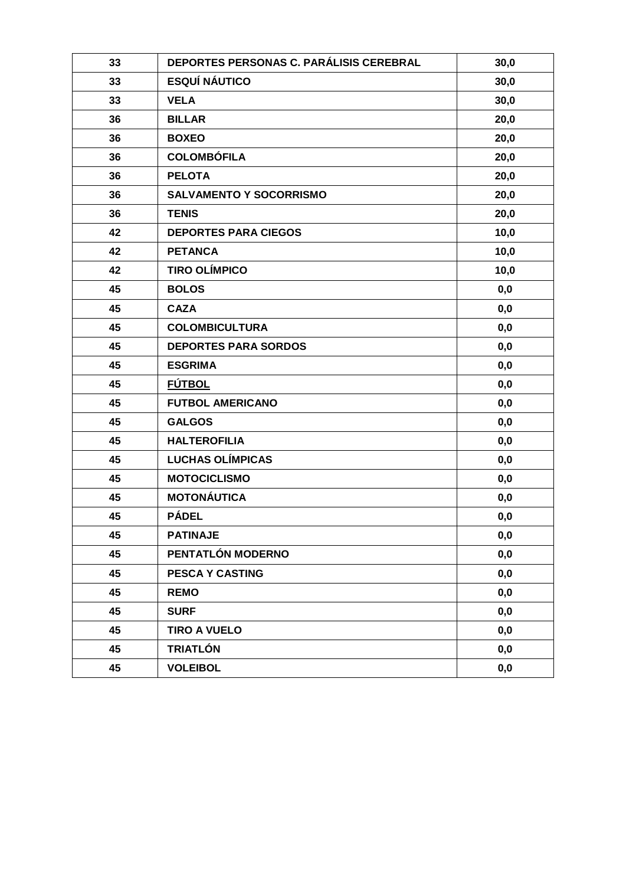| 33 | DEPORTES PERSONAS C. PARÁLISIS CEREBRAL | 30,0 |
|----|-----------------------------------------|------|
| 33 | <b>ESQUÍ NÁUTICO</b>                    | 30,0 |
| 33 | <b>VELA</b>                             | 30,0 |
| 36 | <b>BILLAR</b>                           | 20,0 |
| 36 | <b>BOXEO</b>                            | 20,0 |
| 36 | <b>COLOMBÓFILA</b>                      | 20,0 |
| 36 | <b>PELOTA</b>                           | 20,0 |
| 36 | <b>SALVAMENTO Y SOCORRISMO</b>          | 20,0 |
| 36 | <b>TENIS</b>                            | 20,0 |
| 42 | <b>DEPORTES PARA CIEGOS</b>             | 10,0 |
| 42 | <b>PETANCA</b>                          | 10,0 |
| 42 | <b>TIRO OLÍMPICO</b>                    | 10,0 |
| 45 | <b>BOLOS</b>                            | 0,0  |
| 45 | <b>CAZA</b>                             | 0,0  |
| 45 | <b>COLOMBICULTURA</b>                   | 0,0  |
| 45 | <b>DEPORTES PARA SORDOS</b>             | 0,0  |
| 45 | <b>ESGRIMA</b>                          | 0,0  |
| 45 | <b>FÚTBOL</b>                           | 0,0  |
| 45 | <b>FUTBOL AMERICANO</b>                 | 0,0  |
| 45 | <b>GALGOS</b>                           | 0,0  |
| 45 | <b>HALTEROFILIA</b>                     | 0,0  |
| 45 | <b>LUCHAS OLÍMPICAS</b>                 | 0,0  |
| 45 | <b>MOTOCICLISMO</b>                     | 0,0  |
| 45 | <b>MOTONÁUTICA</b>                      | 0,0  |
| 45 | <b>PÁDEL</b>                            | 0,0  |
| 45 | <b>PATINAJE</b>                         | 0,0  |
| 45 | PENTATLÓN MODERNO                       | 0,0  |
| 45 | <b>PESCA Y CASTING</b>                  | 0,0  |
| 45 | <b>REMO</b>                             | 0,0  |
| 45 | <b>SURF</b>                             | 0,0  |
| 45 | <b>TIRO A VUELO</b>                     | 0,0  |
| 45 | <b>TRIATLÓN</b>                         | 0,0  |
| 45 | <b>VOLEIBOL</b>                         | 0,0  |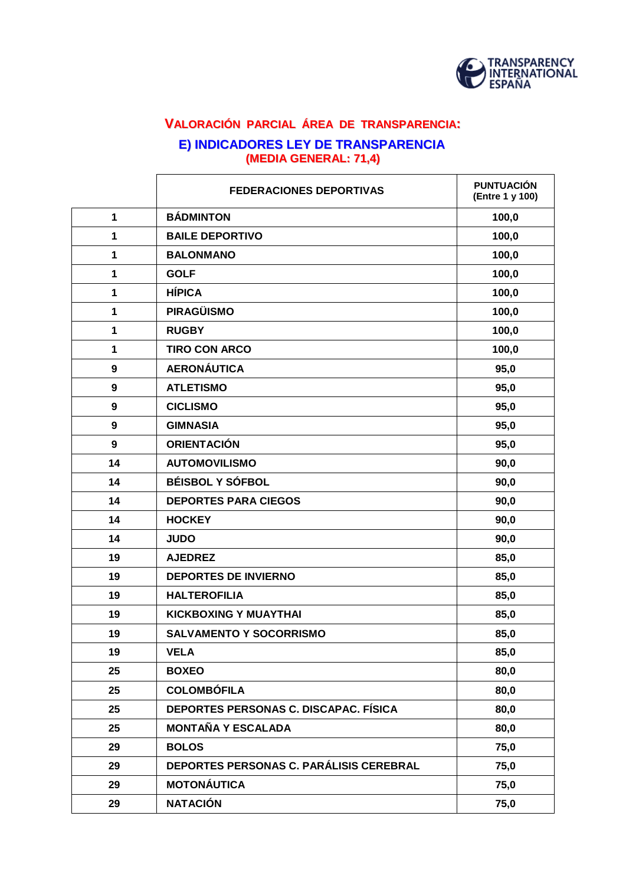

# **VALORACIÓN PARCIAL ÁREA DE TRANSPARENCIA: E) INDICADORES LEY DE TRANSPARENCIA (MEDIA GENERAL: 71,4)**

|                  | <b>FEDERACIONES DEPORTIVAS</b>                 | <b>PUNTUACIÓN</b><br>(Entre 1 y 100) |
|------------------|------------------------------------------------|--------------------------------------|
| $\mathbf{1}$     | <b>BÁDMINTON</b>                               | 100,0                                |
| 1                | <b>BAILE DEPORTIVO</b>                         | 100,0                                |
| 1                | <b>BALONMANO</b>                               | 100,0                                |
| 1                | <b>GOLF</b>                                    | 100,0                                |
| 1                | <b>HÍPICA</b>                                  | 100,0                                |
| 1                | <b>PIRAGÜISMO</b>                              | 100,0                                |
| 1                | <b>RUGBY</b>                                   | 100,0                                |
| 1                | <b>TIRO CON ARCO</b>                           | 100,0                                |
| 9                | <b>AERONÁUTICA</b>                             | 95,0                                 |
| 9                | <b>ATLETISMO</b>                               | 95,0                                 |
| 9                | <b>CICLISMO</b>                                | 95,0                                 |
| 9                | <b>GIMNASIA</b>                                | 95,0                                 |
| $\boldsymbol{9}$ | <b>ORIENTACIÓN</b>                             | 95,0                                 |
| 14               | <b>AUTOMOVILISMO</b>                           | 90,0                                 |
| 14               | <b>BÉISBOL Y SÓFBOL</b>                        | 90,0                                 |
| 14               | <b>DEPORTES PARA CIEGOS</b>                    | 90,0                                 |
| 14               | <b>HOCKEY</b>                                  | 90,0                                 |
| 14               | <b>JUDO</b>                                    | 90,0                                 |
| 19               | <b>AJEDREZ</b>                                 | 85,0                                 |
| 19               | <b>DEPORTES DE INVIERNO</b>                    | 85,0                                 |
| 19               | <b>HALTEROFILIA</b>                            | 85,0                                 |
| 19               | <b>KICKBOXING Y MUAYTHAI</b>                   | 85,0                                 |
| 19               | <b>SALVAMENTO Y SOCORRISMO</b>                 | 85,0                                 |
| 19               | <b>VELA</b>                                    | 85,0                                 |
| 25               | <b>BOXEO</b>                                   | 80,0                                 |
| 25               | <b>COLOMBÓFILA</b>                             | 80,0                                 |
| 25               | DEPORTES PERSONAS C. DISCAPAC. FÍSICA          | 80,0                                 |
| 25               | <b>MONTAÑA Y ESCALADA</b>                      | 80,0                                 |
| 29               | <b>BOLOS</b>                                   | 75,0                                 |
| 29               | <b>DEPORTES PERSONAS C. PARÁLISIS CEREBRAL</b> | 75,0                                 |
| 29               | <b>MOTONÁUTICA</b>                             | 75,0                                 |
| 29               | <b>NATACIÓN</b>                                | 75,0                                 |